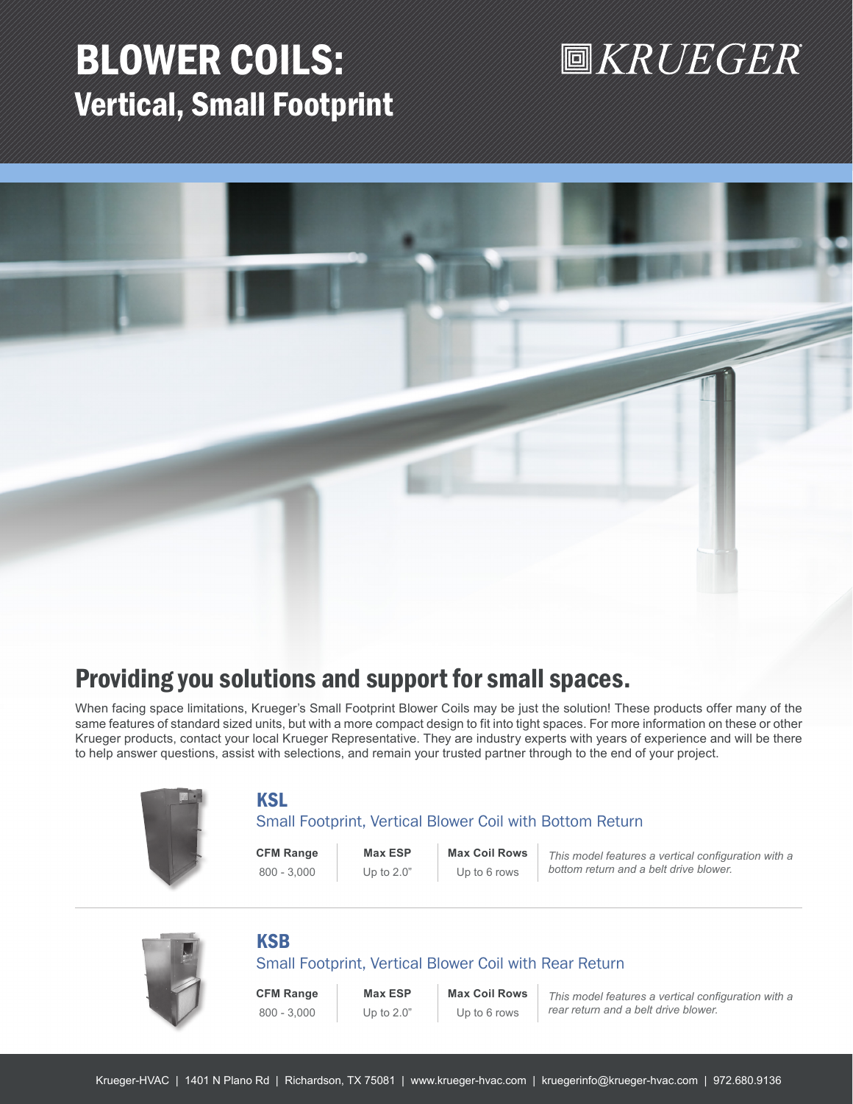## BLOWER COILS: Vertical, Small Footprint



## Providing you solutions and support for small spaces.

When facing space limitations, Krueger's Small Footprint Blower Coils may be just the solution! These products offer many of the same features of standard sized units, but with a more compact design to fit into tight spaces. For more information on these or other Krueger products, contact your local Krueger Representative. They are industry experts with years of experience and will be there to help answer questions, assist with selections, and remain your trusted partner through to the end of your project.



## KSL

### Small Footprint, Vertical Blower Coil with Bottom Return

**CFM Range Max ESP Max Coil Rows**

800 - 3,000 Up to 2.0" Up to 6 rows

*This model features a vertical configuration with a bottom return and a belt drive blower.* 

## **KSB**

### Small Footprint, Vertical Blower Coil with Rear Return

**CFM Range Max ESP Max Coil Rows**

800 - 3,000 Up to 2.0" Up to 6 rows

*This model features a vertical configuration with a rear return and a belt drive blower.*